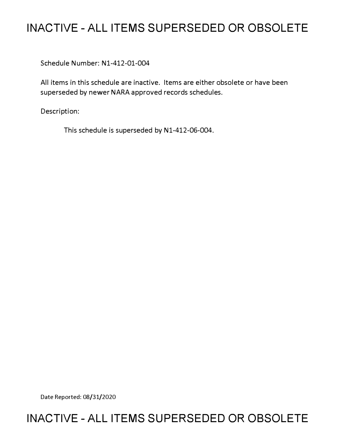# **INACTIVE - ALL ITEMS SUPERSEDED OR OBSOLETE**

Schedule Number: Nl-412-01-004

All items in this schedule are inactive. Items are either obsolete or have been superseded by newer NARA approved records schedules.

Description:

This schedule is superseded by N1-412-06-004.

Date Reported: 08/31/2020

# **INACTIVE - ALL ITEMS SUPERSEDED OR OBSOLETE**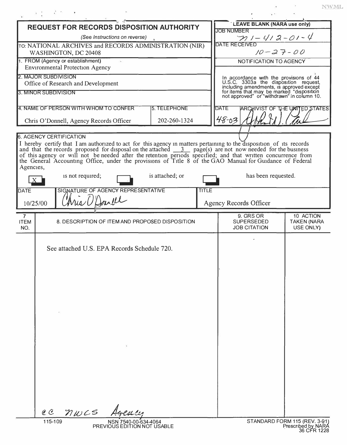|                                                            | <b>REQUEST FOR RECORDS DISPOSITION AUTHORITY</b>                                                                                                                                                                                             | LEAVE BLANK (NARA use only)<br><b>JOB NUMBER</b>                                                                                                                                                                          |                                          |                                      |
|------------------------------------------------------------|----------------------------------------------------------------------------------------------------------------------------------------------------------------------------------------------------------------------------------------------|---------------------------------------------------------------------------------------------------------------------------------------------------------------------------------------------------------------------------|------------------------------------------|--------------------------------------|
|                                                            | (See Instructions on reverse)                                                                                                                                                                                                                | $\frac{1}{\text{DATE RECEIVED}}$                                                                                                                                                                                          |                                          |                                      |
|                                                            | TO: NATIONAL ARCHIVES and RECORDS ADMINISTRATION (NIR)<br>WASHINGTON, DC 20408                                                                                                                                                               | $10 - 27 - 00$                                                                                                                                                                                                            |                                          |                                      |
| 1. FROM (Agency or establishment)                          |                                                                                                                                                                                                                                              |                                                                                                                                                                                                                           | NOTIFICATION TO AGENCY                   |                                      |
|                                                            | <b>Environmental Protection Agency</b>                                                                                                                                                                                                       |                                                                                                                                                                                                                           |                                          |                                      |
|                                                            | 2. MAJOR SUBDIVISION                                                                                                                                                                                                                         | In accordance with the provisions of $44$<br>U.S.C. 3303a the disposition request,<br>including amendments, is approved except<br>for items that may be marked "disposition<br>not approved" or "withdrawn" in column 10. |                                          |                                      |
| Office of Research and Development<br>3. MINOR SUBDIVISION |                                                                                                                                                                                                                                              |                                                                                                                                                                                                                           |                                          |                                      |
|                                                            |                                                                                                                                                                                                                                              |                                                                                                                                                                                                                           |                                          |                                      |
|                                                            | 4. NAME OF PERSON WITH WHOM TO CONFER<br>5. TELEPHONE                                                                                                                                                                                        |                                                                                                                                                                                                                           | <b>DATE</b>                              | <b>ARCHIVIST OF THE UMTED STATES</b> |
|                                                            | Chris O'Donnell, Agency Records Officer                                                                                                                                                                                                      | 202-260-1324                                                                                                                                                                                                              | $48 - 03$                                |                                      |
|                                                            |                                                                                                                                                                                                                                              |                                                                                                                                                                                                                           |                                          |                                      |
|                                                            | <b>6. AGENCY CERTIFICATION</b>                                                                                                                                                                                                               |                                                                                                                                                                                                                           |                                          |                                      |
|                                                            | I hereby certify that I am authorized to act for this agency in matters pertaining to the disposition of its records<br>and that the records proposed for disposal on the attached $\frac{3}{2}$ page(s) are not now needed for the business |                                                                                                                                                                                                                           |                                          |                                      |
|                                                            | of this agency or will not be needed after the retention periods specified; and that written concurrence from                                                                                                                                |                                                                                                                                                                                                                           |                                          |                                      |
| Agencies,                                                  | the General Accounting Office, under the provisions of Title 8 of the GAO Manual for Guidance of Federal                                                                                                                                     |                                                                                                                                                                                                                           |                                          |                                      |
|                                                            | is not required;                                                                                                                                                                                                                             | is attached; or                                                                                                                                                                                                           | has been requested.                      |                                      |
| <b>DATE</b>                                                | SIGNATURE OF AGENCY REPRESENTATIVE                                                                                                                                                                                                           | <b>TITLE</b>                                                                                                                                                                                                              |                                          |                                      |
|                                                            | Aria O'Donell                                                                                                                                                                                                                                |                                                                                                                                                                                                                           |                                          |                                      |
| 10/25/00                                                   |                                                                                                                                                                                                                                              |                                                                                                                                                                                                                           | <b>Agency Records Officer</b>            |                                      |
| $\overline{7}$                                             |                                                                                                                                                                                                                                              |                                                                                                                                                                                                                           | 9. GRS OR                                | 10 ACTION                            |
| <b>ITEM</b><br>NO.                                         | 8. DESCRIPTION OF ITEM AND PROPOSED DISPOSITION                                                                                                                                                                                              |                                                                                                                                                                                                                           | <b>SUPERSEDED</b><br><b>JOB CITATION</b> | <b>TAKEN (NARA</b><br>USE ONLY)      |
|                                                            |                                                                                                                                                                                                                                              |                                                                                                                                                                                                                           |                                          |                                      |
|                                                            |                                                                                                                                                                                                                                              |                                                                                                                                                                                                                           |                                          |                                      |
|                                                            | See attached U.S. EPA Records Schedule 720.                                                                                                                                                                                                  |                                                                                                                                                                                                                           |                                          |                                      |
|                                                            |                                                                                                                                                                                                                                              |                                                                                                                                                                                                                           |                                          |                                      |
|                                                            |                                                                                                                                                                                                                                              |                                                                                                                                                                                                                           |                                          |                                      |
|                                                            |                                                                                                                                                                                                                                              |                                                                                                                                                                                                                           |                                          |                                      |
|                                                            |                                                                                                                                                                                                                                              |                                                                                                                                                                                                                           |                                          |                                      |
|                                                            |                                                                                                                                                                                                                                              |                                                                                                                                                                                                                           |                                          |                                      |
|                                                            |                                                                                                                                                                                                                                              |                                                                                                                                                                                                                           |                                          |                                      |
|                                                            |                                                                                                                                                                                                                                              |                                                                                                                                                                                                                           |                                          |                                      |
|                                                            |                                                                                                                                                                                                                                              |                                                                                                                                                                                                                           |                                          |                                      |
|                                                            |                                                                                                                                                                                                                                              |                                                                                                                                                                                                                           |                                          |                                      |
|                                                            |                                                                                                                                                                                                                                              |                                                                                                                                                                                                                           |                                          |                                      |
|                                                            |                                                                                                                                                                                                                                              |                                                                                                                                                                                                                           |                                          |                                      |
|                                                            |                                                                                                                                                                                                                                              |                                                                                                                                                                                                                           |                                          |                                      |
|                                                            |                                                                                                                                                                                                                                              |                                                                                                                                                                                                                           |                                          |                                      |
|                                                            |                                                                                                                                                                                                                                              |                                                                                                                                                                                                                           |                                          |                                      |
|                                                            |                                                                                                                                                                                                                                              |                                                                                                                                                                                                                           |                                          |                                      |
|                                                            |                                                                                                                                                                                                                                              |                                                                                                                                                                                                                           |                                          |                                      |
|                                                            |                                                                                                                                                                                                                                              |                                                                                                                                                                                                                           |                                          |                                      |
|                                                            |                                                                                                                                                                                                                                              |                                                                                                                                                                                                                           |                                          |                                      |
|                                                            | nwcs<br>$\mathscr{C}$                                                                                                                                                                                                                        |                                                                                                                                                                                                                           |                                          |                                      |

 $\mathcal{X}(\mathcal{B})=\mathcal{B}(\mathcal{B})=\mathcal{B}$ 

 $\ensuremath{\text{NWML}}$ 

 $\bar{\mathbf{z}}$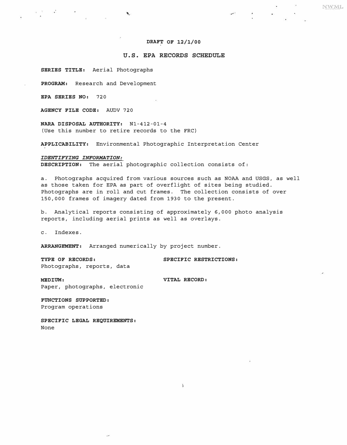## DRAFT OF 12/1/00

NWML

# **U.S. EPA RECORDS SCHEDULE**

**SERIES TITLE:** Aerial Photographs

**PROGRAM:** Research and Development

**EPA SERIES NO:** 720

 $\sim$   $\sim$   $\sim$ 

**AGENCY FILE CODE:** AUDV 720

**NARA DISPOSAL AUTHORITY:** Nl-412-01-4 (Use this number to retire records to the FRC)

A.

**APPLICABILITY:** Environmental Photographic Interpretation Center

*IDENTIFYING INFORMATION:*  **DESCRIPTION:** The aerial photographic collection consists of:

a. Photographs acquired from various sources such as NOAA and USGS, as well as those taken for EPA as part of overflight of sites being studied. Photographs are in roll and cut frames. The collection consists of over 150,000 frames of imagery dated from 1930 to the present.

b. Analytical reports consisting of approximately 6,000 photo analysis reports, including aerial prints as well as overlays.

c. Indexes.

**ARRANGEMENT:** Arranged numerically by project number.

**TYPE OF RECORDS: SPECIFIC RESTRICTIONS:**  Photographs, reports, data

**MEDIUM: VITAL RECORD:** Paper, photographs, electronic

 $\pmb{\lambda}$ 

**FUNCTIONS SUPPORTED:**  Program operations

**SPECIFIC LEGAL REQUIREMENTS:**  None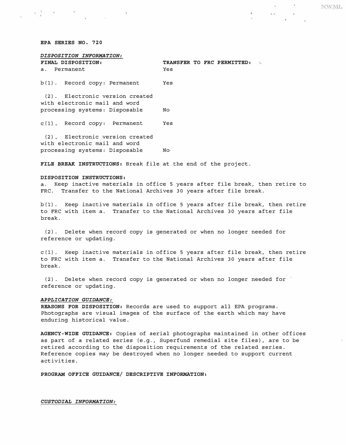### *EPA SERIES NO. 720*

공간의 2011 - 10

*DISPOSITION INFORMATION:*  **FINAL TO FREE PERMITTED:** a. Permanent b (l) . Record copy: Permanent Yes (2) . Electronic version created with electronic mail and word processing systems: Disposable No C (1) Record copy: Permanent Yes

(2) Electronic version created with electronic mail and word processing systems: Disposable No

*FILE BREAK INSTRUCTIONS:* Break file at the end of the project.

#### *DISPOSITION INSTRUCTIONS:*

a. Keep inactive materials in office 5 years after file break, then retire to FRC. Transfer to the National Archives 30 years after file break.

b (l) . Keep inactive materials in office 5 years after file break, then retire to FRC with item a. Transfer to the National Archives 30 years after file break.

(2) . Delete when record copy is generated or when no longer needed for reference or updating.

c (l) . Keep inactive materials in office 5 years after file break, then retire to FRC with item a. Transfer to the National Archives 30 years after file break.

(2). Delete when record copy is generated or when no longer needed for  $\check{ }$ reference or updating.

## *APPLICATION GUIDANCE:*

*REASONS FOR DISPOSITION:* Records are used to support all EPA programs. Photographs are visual images of the surface of the earth which may have enduring historical value.

*AGENCY-WIDE GUIDANCE:* Copies of aerial photographs maintained in other offices as part of a related series (e.g., Superfund remedial site files) , are to be retired according to the disposition requirements of the related series. Reference copies may be destroyed when no longer needed to support current activities.

*PROGRAM OFFICE GUIDANCE/ DESCRIPTIVE INFORMATION:* 

*CUSTODIAL INFORMATION:* 

 $-0.0001$